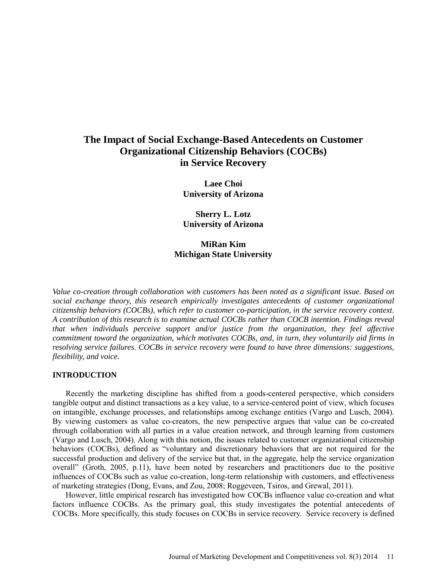# **The Impact of Social Exchange-Based Antecedents on Customer Organizational Citizenship Behaviors (COCBs) in Service Recovery**

**Laee Choi University of Arizona** 

**Sherry L. Lotz University of Arizona**

# **MiRan Kim Michigan State University**

*Value co-creation through collaboration with customers has been noted as a significant issue. Based on social exchange theory, this research empirically investigates antecedents of customer organizational citizenship behaviors (COCBs), which refer to customer co-participation, in the service recovery context. A contribution of this research is to examine actual COCBs rather than COCB intention. Findings reveal that when individuals perceive support and/or justice from the organization, they feel affective commitment toward the organization, which motivates COCBs, and, in turn, they voluntarily aid firms in resolving service failures. COCBs in service recovery were found to have three dimensions: suggestions, flexibility, and voice.* 

### **INTRODUCTION**

Recently the marketing discipline has shifted from a goods-centered perspective, which considers tangible output and distinct transactions as a key value, to a service-centered point of view, which focuses on intangible, exchange processes, and relationships among exchange entities (Vargo and Lusch, 2004). By viewing customers as value co-creators, the new perspective argues that value can be co-created through collaboration with all parties in a value creation network, and through learning from customers (Vargo and Lusch, 2004). Along with this notion, the issues related to customer organizational citizenship behaviors (COCBs), defined as "voluntary and discretionary behaviors that are not required for the successful production and delivery of the service but that, in the aggregate, help the service organization overall" (Groth, 2005, p.11), have been noted by researchers and practitioners due to the positive influences of COCBs such as value co-creation, long-term relationship with customers, and effectiveness of marketing strategies (Dong, Evans, and Zou, 2008; Roggeveen, Tsiros, and Grewal, 2011).

However, little empirical research has investigated how COCBs influence value co-creation and what factors influence COCBs. As the primary goal, this study investigates the potential antecedents of COCBs. More specifically, this study focuses on COCBs in service recovery. Service recovery is defined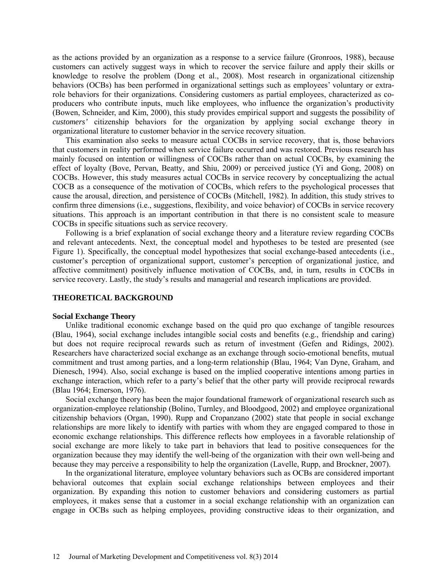as the actions provided by an organization as a response to a service failure (Gronroos, 1988), because customers can actively suggest ways in which to recover the service failure and apply their skills or knowledge to resolve the problem (Dong et al., 2008). Most research in organizational citizenship behaviors (OCBs) has been performed in organizational settings such as employees' voluntary or extrarole behaviors for their organizations. Considering customers as partial employees, characterized as coproducers who contribute inputs, much like employees, who influence the organization's productivity (Bowen, Schneider, and Kim, 2000), this study provides empirical support and suggests the possibility of *customers'* citizenship behaviors for the organization by applying social exchange theory in organizational literature to customer behavior in the service recovery situation.

This examination also seeks to measure actual COCBs in service recovery, that is, those behaviors that customers in reality performed when service failure occurred and was restored. Previous research has mainly focused on intention or willingness of COCBs rather than on actual COCBs, by examining the effect of loyalty (Bove, Pervan, Beatty, and Shiu, 2009) or perceived justice (Yi and Gong, 2008) on COCBs. However, this study measures actual COCBs in service recovery by conceptualizing the actual COCB as a consequence of the motivation of COCBs, which refers to the psychological processes that cause the arousal, direction, and persistence of COCBs (Mitchell, 1982). In addition, this study strives to confirm three dimensions (i.e., suggestions, flexibility, and voice behavior) of COCBs in service recovery situations. This approach is an important contribution in that there is no consistent scale to measure COCBs in specific situations such as service recovery.

Following is a brief explanation of social exchange theory and a literature review regarding COCBs and relevant antecedents. Next, the conceptual model and hypotheses to be tested are presented (see Figure 1). Specifically, the conceptual model hypothesizes that social exchange-based antecedents (i.e., customer's perception of organizational support, customer's perception of organizational justice, and affective commitment) positively influence motivation of COCBs, and, in turn, results in COCBs in service recovery. Lastly, the study's results and managerial and research implications are provided.

#### **THEORETICAL BACKGROUND**

#### **Social Exchange Theory**

Unlike traditional economic exchange based on the quid pro quo exchange of tangible resources (Blau, 1964), social exchange includes intangible social costs and benefits (e.g., friendship and caring) but does not require reciprocal rewards such as return of investment (Gefen and Ridings, 2002). Researchers have characterized social exchange as an exchange through socio-emotional benefits, mutual commitment and trust among parties, and a long-term relationship (Blau, 1964; Van Dyne, Graham, and Dienesch, 1994). Also, social exchange is based on the implied cooperative intentions among parties in exchange interaction, which refer to a party's belief that the other party will provide reciprocal rewards (Blau 1964; Emerson, 1976).

Social exchange theory has been the major foundational framework of organizational research such as organization-employee relationship (Bolino, Turnley, and Bloodgood, 2002) and employee organizational citizenship behaviors (Organ, 1990). Rupp and Cropanzano (2002) state that people in social exchange relationships are more likely to identify with parties with whom they are engaged compared to those in economic exchange relationships. This difference reflects how employees in a favorable relationship of social exchange are more likely to take part in behaviors that lead to positive consequences for the organization because they may identify the well-being of the organization with their own well-being and because they may perceive a responsibility to help the organization (Lavelle, Rupp, and Brockner, 2007).

In the organizational literature, employee voluntary behaviors such as OCBs are considered important behavioral outcomes that explain social exchange relationships between employees and their organization. By expanding this notion to customer behaviors and considering customers as partial employees, it makes sense that a customer in a social exchange relationship with an organization can engage in OCBs such as helping employees, providing constructive ideas to their organization, and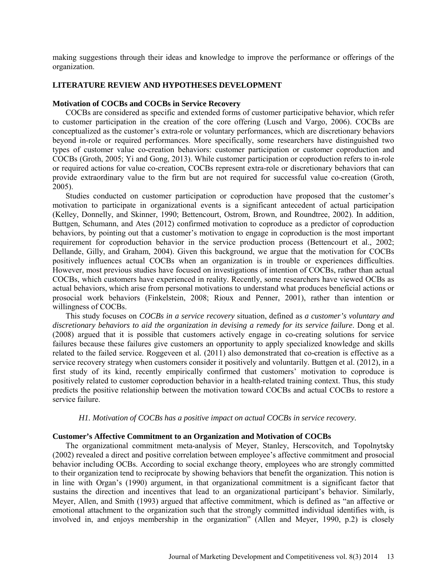making suggestions through their ideas and knowledge to improve the performance or offerings of the organization.

## **LITERATURE REVIEW AND HYPOTHESES DEVELOPMENT**

### **Motivation of COCBs and COCBs in Service Recovery**

COCBs are considered as specific and extended forms of customer participative behavior, which refer to customer participation in the creation of the core offering (Lusch and Vargo, 2006). COCBs are conceptualized as the customer's extra-role or voluntary performances, which are discretionary behaviors beyond in-role or required performances. More specifically, some researchers have distinguished two types of customer value co-creation behaviors: customer participation or customer coproduction and COCBs (Groth, 2005; Yi and Gong, 2013). While customer participation or coproduction refers to in-role or required actions for value co-creation, COCBs represent extra-role or discretionary behaviors that can provide extraordinary value to the firm but are not required for successful value co-creation (Groth, 2005).

Studies conducted on customer participation or coproduction have proposed that the customer's motivation to participate in organizational events is a significant antecedent of actual participation (Kelley, Donnelly, and Skinner, 1990; Bettencourt, Ostrom, Brown, and Roundtree, 2002). In addition, Buttgen, Schumann, and Ates (2012) confirmed motivation to coproduce as a predictor of coproduction behaviors, by pointing out that a customer's motivation to engage in coproduction is the most important requirement for coproduction behavior in the service production process (Bettencourt et al., 2002; Dellande, Gilly, and Graham, 2004). Given this background, we argue that the motivation for COCBs positively influences actual COCBs when an organization is in trouble or experiences difficulties. However, most previous studies have focused on investigations of intention of COCBs, rather than actual COCBs, which customers have experienced in reality. Recently, some researchers have viewed OCBs as actual behaviors, which arise from personal motivations to understand what produces beneficial actions or prosocial work behaviors (Finkelstein, 2008; Rioux and Penner, 2001), rather than intention or willingness of COCBs.

This study focuses on *COCBs in a service recovery* situation, defined as *a customer's voluntary and discretionary behaviors to aid the organization in devising a remedy for its service failure*. Dong et al. (2008) argued that it is possible that customers actively engage in co-creating solutions for service failures because these failures give customers an opportunity to apply specialized knowledge and skills related to the failed service. Roggeveen et al. (2011) also demonstrated that co-creation is effective as a service recovery strategy when customers consider it positively and voluntarily. Buttgen et al. (2012), in a first study of its kind, recently empirically confirmed that customers' motivation to coproduce is positively related to customer coproduction behavior in a health-related training context. Thus, this study predicts the positive relationship between the motivation toward COCBs and actual COCBs to restore a service failure.

# *H1. Motivation of COCBs has a positive impact on actual COCBs in service recovery.*

### **Customer's Affective Commitment to an Organization and Motivation of COCBs**

The organizational commitment meta-analysis of Meyer, Stanley, Herscovitch, and Topolnytsky (2002) revealed a direct and positive correlation between employee's affective commitment and prosocial behavior including OCBs. According to social exchange theory, employees who are strongly committed to their organization tend to reciprocate by showing behaviors that benefit the organization. This notion is in line with Organ's (1990) argument, in that organizational commitment is a significant factor that sustains the direction and incentives that lead to an organizational participant's behavior. Similarly, Meyer, Allen, and Smith (1993) argued that affective commitment, which is defined as "an affective or emotional attachment to the organization such that the strongly committed individual identifies with, is involved in, and enjoys membership in the organization" (Allen and Meyer, 1990, p.2) is closely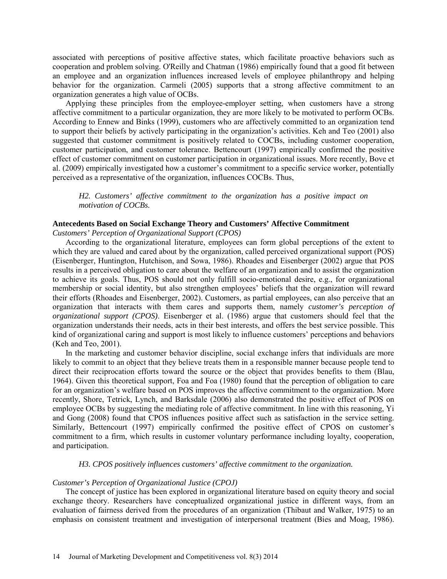associated with perceptions of positive affective states, which facilitate proactive behaviors such as cooperation and problem solving. O'Reilly and Chatman (1986) empirically found that a good fit between an employee and an organization influences increased levels of employee philanthropy and helping behavior for the organization. Carmeli (2005) supports that a strong affective commitment to an organization generates a high value of OCBs.

Applying these principles from the employee-employer setting, when customers have a strong affective commitment to a particular organization, they are more likely to be motivated to perform OCBs. According to Ennew and Binks (1999), customers who are affectively committed to an organization tend to support their beliefs by actively participating in the organization's activities. Keh and Teo (2001) also suggested that customer commitment is positively related to COCBs, including customer cooperation, customer participation, and customer tolerance. Bettencourt (1997) empirically confirmed the positive effect of customer commitment on customer participation in organizational issues. More recently, Bove et al. (2009) empirically investigated how a customer's commitment to a specific service worker, potentially perceived as a representative of the organization, influences COCBs. Thus,

*H2. Customers' affective commitment to the organization has a positive impact on motivation of COCBs.*

### **Antecedents Based on Social Exchange Theory and Customers' Affective Commitment**

*Customers' Perception of Organizational Support (CPOS)* 

According to the organizational literature, employees can form global perceptions of the extent to which they are valued and cared about by the organization, called perceived organizational support (POS) (Eisenberger, Huntington, Hutchison, and Sowa, 1986). Rhoades and Eisenberger (2002) argue that POS results in a perceived obligation to care about the welfare of an organization and to assist the organization to achieve its goals. Thus, POS should not only fulfill socio-emotional desire, e.g., for organizational membership or social identity, but also strengthen employees' beliefs that the organization will reward their efforts (Rhoades and Eisenberger, 2002). Customers, as partial employees, can also perceive that an organization that interacts with them cares and supports them, namely *customer's perception of organizational support (CPOS)*. Eisenberger et al. (1986) argue that customers should feel that the organization understands their needs, acts in their best interests, and offers the best service possible. This kind of organizational caring and support is most likely to influence customers' perceptions and behaviors (Keh and Teo, 2001).

In the marketing and customer behavior discipline, social exchange infers that individuals are more likely to commit to an object that they believe treats them in a responsible manner because people tend to direct their reciprocation efforts toward the source or the object that provides benefits to them (Blau, 1964). Given this theoretical support, Foa and Foa (1980) found that the perception of obligation to care for an organization's welfare based on POS improves the affective commitment to the organization. More recently, Shore, Tetrick, Lynch, and Barksdale (2006) also demonstrated the positive effect of POS on employee OCBs by suggesting the mediating role of affective commitment. In line with this reasoning, Yi and Gong (2008) found that CPOS influences positive affect such as satisfaction in the service setting. Similarly, Bettencourt (1997) empirically confirmed the positive effect of CPOS on customer's commitment to a firm, which results in customer voluntary performance including loyalty, cooperation, and participation.

*H3. CPOS positively influences customers' affective commitment to the organization.*

#### *Customer's Perception of Organizational Justice (CPOJ)*

The concept of justice has been explored in organizational literature based on equity theory and social exchange theory. Researchers have conceptualized organizational justice in different ways, from an evaluation of fairness derived from the procedures of an organization (Thibaut and Walker, 1975) to an emphasis on consistent treatment and investigation of interpersonal treatment (Bies and Moag, 1986).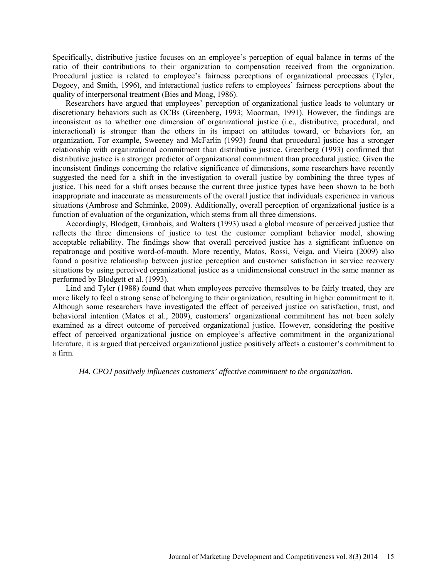Specifically, distributive justice focuses on an employee's perception of equal balance in terms of the ratio of their contributions to their organization to compensation received from the organization. Procedural justice is related to employee's fairness perceptions of organizational processes (Tyler, Degoey, and Smith, 1996), and interactional justice refers to employees' fairness perceptions about the quality of interpersonal treatment (Bies and Moag, 1986).

Researchers have argued that employees' perception of organizational justice leads to voluntary or discretionary behaviors such as OCBs (Greenberg, 1993; Moorman, 1991). However, the findings are inconsistent as to whether one dimension of organizational justice (i.e., distributive, procedural, and interactional) is stronger than the others in its impact on attitudes toward, or behaviors for, an organization. For example, Sweeney and McFarlin (1993) found that procedural justice has a stronger relationship with organizational commitment than distributive justice. Greenberg (1993) confirmed that distributive justice is a stronger predictor of organizational commitment than procedural justice. Given the inconsistent findings concerning the relative significance of dimensions, some researchers have recently suggested the need for a shift in the investigation to overall justice by combining the three types of justice. This need for a shift arises because the current three justice types have been shown to be both inappropriate and inaccurate as measurements of the overall justice that individuals experience in various situations (Ambrose and Schminke, 2009). Additionally, overall perception of organizational justice is a function of evaluation of the organization, which stems from all three dimensions.

Accordingly, Blodgett, Granbois, and Walters (1993) used a global measure of perceived justice that reflects the three dimensions of justice to test the customer compliant behavior model, showing acceptable reliability. The findings show that overall perceived justice has a significant influence on repatronage and positive word-of-mouth. More recently, Matos, Rossi, Veiga, and Vieira (2009) also found a positive relationship between justice perception and customer satisfaction in service recovery situations by using perceived organizational justice as a unidimensional construct in the same manner as performed by Blodgett et al. (1993).

Lind and Tyler (1988) found that when employees perceive themselves to be fairly treated, they are more likely to feel a strong sense of belonging to their organization, resulting in higher commitment to it. Although some researchers have investigated the effect of perceived justice on satisfaction, trust, and behavioral intention (Matos et al., 2009), customers' organizational commitment has not been solely examined as a direct outcome of perceived organizational justice. However, considering the positive effect of perceived organizational justice on employee's affective commitment in the organizational literature, it is argued that perceived organizational justice positively affects a customer's commitment to a firm.

*H4. CPOJ positively influences customers' affective commitment to the organization.*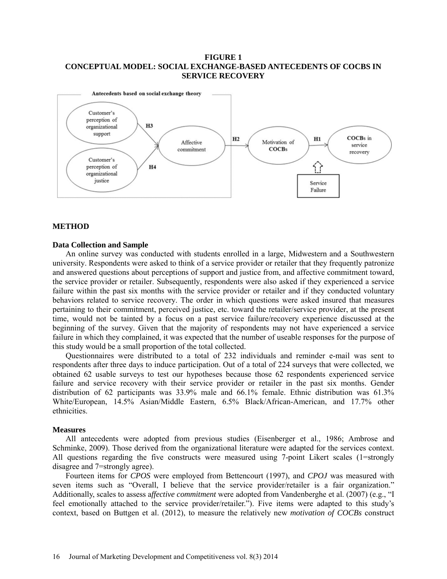## **FIGURE 1 CONCEPTUAL MODEL: SOCIAL EXCHANGE-BASED ANTECEDENTS OF COCBS IN SERVICE RECOVERY**



#### **METHOD**

### **Data Collection and Sample**

An online survey was conducted with students enrolled in a large, Midwestern and a Southwestern university. Respondents were asked to think of a service provider or retailer that they frequently patronize and answered questions about perceptions of support and justice from, and affective commitment toward, the service provider or retailer. Subsequently, respondents were also asked if they experienced a service failure within the past six months with the service provider or retailer and if they conducted voluntary behaviors related to service recovery. The order in which questions were asked insured that measures pertaining to their commitment, perceived justice, etc. toward the retailer/service provider, at the present time, would not be tainted by a focus on a past service failure/recovery experience discussed at the beginning of the survey. Given that the majority of respondents may not have experienced a service failure in which they complained, it was expected that the number of useable responses for the purpose of this study would be a small proportion of the total collected.

Questionnaires were distributed to a total of 232 individuals and reminder e-mail was sent to respondents after three days to induce participation. Out of a total of 224 surveys that were collected, we obtained 62 usable surveys to test our hypotheses because those 62 respondents experienced service failure and service recovery with their service provider or retailer in the past six months. Gender distribution of 62 participants was 33.9% male and 66.1% female. Ethnic distribution was 61.3% White/European, 14.5% Asian/Middle Eastern, 6.5% Black/African-American, and 17.7% other ethnicities.

#### **Measures**

All antecedents were adopted from previous studies (Eisenberger et al., 1986; Ambrose and Schminke, 2009). Those derived from the organizational literature were adapted for the services context. All questions regarding the five constructs were measured using 7-point Likert scales (1=strongly disagree and 7=strongly agree).

Fourteen items for *CPOS* were employed from Bettencourt (1997), and *CPOJ* was measured with seven items such as "Overall, I believe that the service provider/retailer is a fair organization." Additionally, scales to assess a*ffective commitment* were adopted from Vandenberghe et al. (2007) (e.g., "I feel emotionally attached to the service provider/retailer."). Five items were adapted to this study's context, based on Buttgen et al. (2012), to measure the relatively new *motivation of COCBs* construct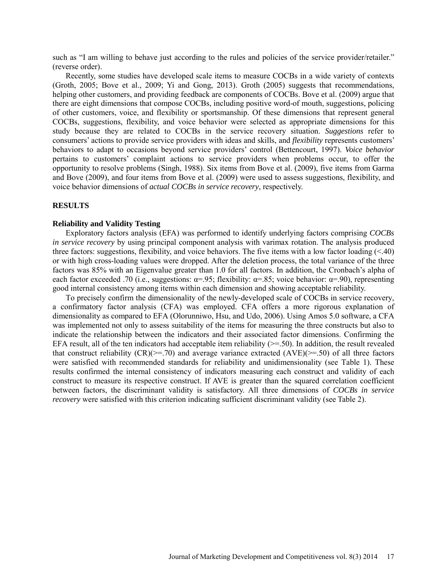such as "I am willing to behave just according to the rules and policies of the service provider/retailer." (reverse order).

Recently, some studies have developed scale items to measure COCBs in a wide variety of contexts (Groth, 2005; Bove et al., 2009; Yi and Gong, 2013). Groth (2005) suggests that recommendations, helping other customers, and providing feedback are components of COCBs. Bove et al. (2009) argue that there are eight dimensions that compose COCBs, including positive word-of mouth, suggestions, policing of other customers, voice, and flexibility or sportsmanship. Of these dimensions that represent general COCBs, suggestions, flexibility, and voice behavior were selected as appropriate dimensions for this study because they are related to COCBs in the service recovery situation. *Suggestions* refer to consumers' actions to provide service providers with ideas and skills, and *flexibility* represents customers' behaviors to adapt to occasions beyond service providers' control (Bettencourt, 1997). *Voice behavior* pertains to customers' complaint actions to service providers when problems occur, to offer the opportunity to resolve problems (Singh, 1988). Six items from Bove et al. (2009), five items from Garma and Bove (2009), and four items from Bove et al. (2009) were used to assess suggestions, flexibility, and voice behavior dimensions of *actual COCBs in service recovery*, respectively.

# **RESULTS**

#### **Reliability and Validity Testing**

Exploratory factors analysis (EFA) was performed to identify underlying factors comprising *COCBs in service recovery* by using principal component analysis with varimax rotation. The analysis produced three factors: suggestions, flexibility, and voice behaviors. The five items with a low factor loading  $( $40$ )$ or with high cross-loading values were dropped. After the deletion process, the total variance of the three factors was 85% with an Eigenvalue greater than 1.0 for all factors. In addition, the Cronbach's alpha of each factor exceeded .70 (i.e., suggestions:  $\alpha$ =.95; flexibility:  $\alpha$ =.85; voice behavior:  $\alpha$ =.90), representing good internal consistency among items within each dimension and showing acceptable reliability.

To precisely confirm the dimensionality of the newly-developed scale of COCBs in service recovery, a confirmatory factor analysis (CFA) was employed. CFA offers a more rigorous explanation of dimensionality as compared to EFA (Olorunniwo, Hsu, and Udo, 2006). Using Amos 5.0 software, a CFA was implemented not only to assess suitability of the items for measuring the three constructs but also to indicate the relationship between the indicators and their associated factor dimensions. Confirming the EFA result, all of the ten indicators had acceptable item reliability  $(>= 50)$ . In addition, the result revealed that construct reliability  $(CR)(\geq 70)$  and average variance extracted  $(AVE)(\geq 50)$  of all three factors were satisfied with recommended standards for reliability and unidimensionality (see Table 1). These results confirmed the internal consistency of indicators measuring each construct and validity of each construct to measure its respective construct. If AVE is greater than the squared correlation coefficient between factors, the discriminant validity is satisfactory. All three dimensions of *COCBs in service recovery* were satisfied with this criterion indicating sufficient discriminant validity (see Table 2).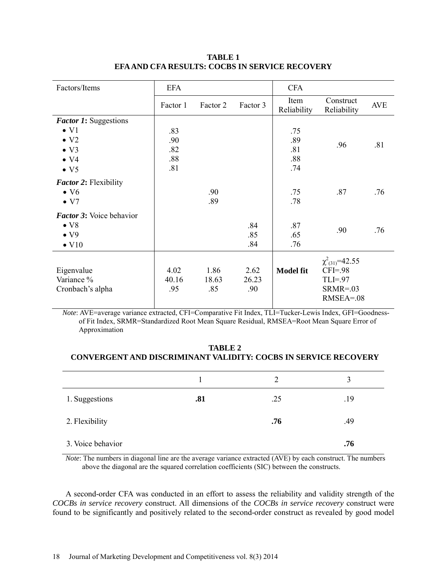| Factors/Items                   | <b>EFA</b> |          |          | <b>CFA</b>          |                          |            |
|---------------------------------|------------|----------|----------|---------------------|--------------------------|------------|
|                                 | Factor 1   | Factor 2 | Factor 3 | Item<br>Reliability | Construct<br>Reliability | <b>AVE</b> |
| Factor 1: Suggestions           |            |          |          |                     |                          |            |
| $\bullet$ V <sub>1</sub>        | .83        |          |          | .75                 |                          |            |
| $\bullet$ V <sub>2</sub>        | .90        |          |          | .89                 | .96                      | .81        |
| $\bullet$ V3                    | .82        |          |          | .81                 |                          |            |
| $\bullet$ V4                    | .88        |          |          | .88                 |                          |            |
| $\bullet$ V <sub>5</sub>        | .81        |          |          | .74                 |                          |            |
| <b>Factor 2: Flexibility</b>    |            |          |          |                     |                          |            |
| $\bullet$ V <sub>6</sub>        |            | .90      |          | .75                 | .87                      | .76        |
| $\bullet$ V7                    |            | .89      |          | .78                 |                          |            |
| <b>Factor 3:</b> Voice behavior |            |          |          |                     |                          |            |
| $\bullet$ V <sub>8</sub>        |            |          | .84      | .87                 |                          |            |
| $\bullet$ V9                    |            |          | .85      | .65                 | .90                      | .76        |
| $\bullet$ V <sub>10</sub>       |            |          | .84      | .76                 |                          |            |
|                                 |            |          |          |                     | $\chi^2_{(31)} = 42.55$  |            |
| Eigenvalue                      | 4.02       | 1.86     | 2.62     | <b>Model fit</b>    | $CFI = .98$              |            |
| Variance %                      | 40.16      | 18.63    | 26.23    |                     | $TLI = .97$              |            |
| Cronbach's alpha                | .95        | .85      | .90      |                     | $SRMR = .03$             |            |
|                                 |            |          |          |                     | $RMSEA = 08$             |            |
|                                 |            |          |          |                     |                          |            |

# **TABLE 1 EFA AND CFA RESULTS: COCBS IN SERVICE RECOVERY**

*Note*: AVE=average variance extracted, CFI=Comparative Fit Index, TLI=Tucker-Lewis Index, GFI=Goodnessof Fit Index, SRMR=Standardized Root Mean Square Residual, RMSEA=Root Mean Square Error of Approximation

# **TABLE 2 CONVERGENT AND DISCRIMINANT VALIDITY: COCBS IN SERVICE RECOVERY**

|                   |     | 2   | 3   |
|-------------------|-----|-----|-----|
| 1. Suggestions    | .81 | .25 | .19 |
| 2. Flexibility    |     | .76 | .49 |
| 3. Voice behavior |     |     | .76 |

*Note*: The numbers in diagonal line are the average variance extracted (AVE) by each construct. The numbers above the diagonal are the squared correlation coefficients (SIC) between the constructs.

A second-order CFA was conducted in an effort to assess the reliability and validity strength of the *COCBs in service recovery* construct. All dimensions of the *COCBs in service recovery* construct were found to be significantly and positively related to the second-order construct as revealed by good model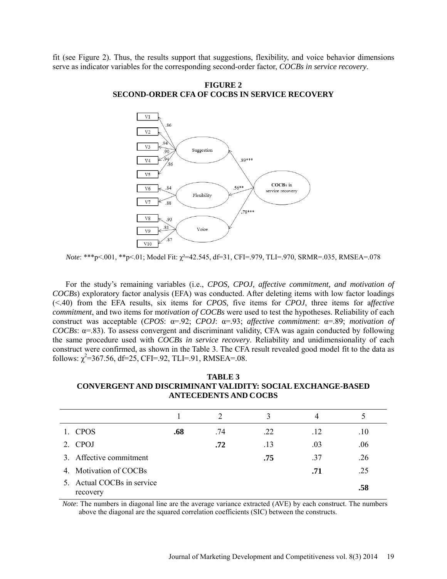fit (see Figure 2). Thus, the results support that suggestions, flexibility, and voice behavior dimensions serve as indicator variables for the corresponding second-order factor, *COCBs in service recovery*.

**FIGURE 2 SECOND-ORDER CFA OF COCBS IN SERVICE RECOVERY**



*Note*: \*\*\*p<.001, \*\*p<.01; Model Fit: χ²=42.545, df=31, CFI=.979, TLI=.970, SRMR=.035, RMSEA=.078

For the study's remaining variables (i.e., *CPOS, CPOJ, affective commitment, and motivation of COCBs*) exploratory factor analysis (EFA) was conducted. After deleting items with low factor loadings (<.40) from the EFA results, six items for *CPOS*, five items for *CPOJ*, three items for a*ffective commitment*, and two items for m*otivation of COCBs* were used to test the hypotheses. Reliability of each construct was acceptable (*CPOS*: α=.92; *CPOJ*: α=.93; *affective commitment*: α=.89; *motivation of COCBs*:  $\alpha$ =.83). To assess convergent and discriminant validity, CFA was again conducted by following the same procedure used with *COCBs in service recovery*. Reliability and unidimensionality of each construct were confirmed, as shown in the Table 3. The CFA result revealed good model fit to the data as follows:  $\chi^2$ =367.56, df=25, CFI=.92, TLI=.91, RMSEA=.08.

**TABLE 3 CONVERGENT AND DISCRIMINANT VALIDITY: SOCIAL EXCHANGE-BASED ANTECEDENTS AND COCBS** 

|                                        |     | $\mathcal{D}_{\mathcal{L}}$ | 3   | 4   |     |
|----------------------------------------|-----|-----------------------------|-----|-----|-----|
| 1. CPOS                                | .68 | .74                         | .22 | .12 | .10 |
| 2. CPOJ                                |     | .72                         | .13 | .03 | .06 |
| 3. Affective commitment                |     |                             | .75 | .37 | .26 |
| 4. Motivation of COCBs                 |     |                             |     | .71 | .25 |
| 5. Actual COCBs in service<br>recovery |     |                             |     |     | .58 |

*Note*: The numbers in diagonal line are the average variance extracted (AVE) by each construct. The numbers above the diagonal are the squared correlation coefficients (SIC) between the constructs.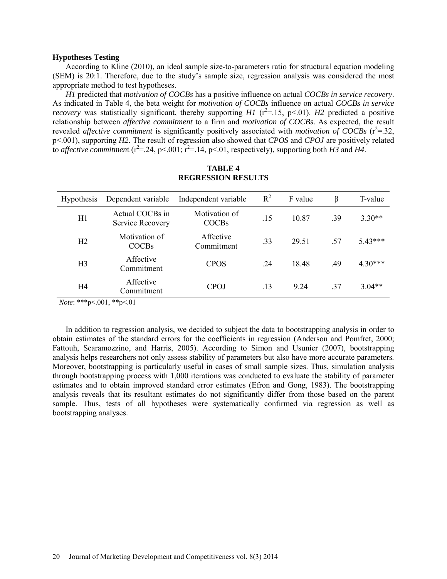#### **Hypotheses Testing**

According to Kline (2010), an ideal sample size-to-parameters ratio for structural equation modeling (SEM) is 20:1. Therefore, due to the study's sample size, regression analysis was considered the most appropriate method to test hypotheses.

*H1* predicted that *motivation of COCBs* has a positive influence on actual *COCBs in service recovery*. As indicated in Table 4, the beta weight for *motivation of COCBs* influence on actual *COCBs in service recovery* was statistically significant, thereby supporting *H1* ( $r^2$ =.15, p<.01). *H2* predicted a positive relationship between *affective commitment* to a firm and *motivation of COCBs*. As expected, the result revealed *affective commitment* is significantly positively associated with *motivation of COCBs* ( $r^2$ =.32, p<.001), supporting *H2*. The result of regression also showed that *CPOS* and *CPOJ* are positively related to *affective commitment* ( $r^2$ =.24, p<.001;  $r^2$ =.14, p<.01, respectively), supporting both *H3* and *H4*.

| <b>Hypothesis</b> | Dependent variable                  | Independent variable          | $R^2$ | F value | β   | T-value   |
|-------------------|-------------------------------------|-------------------------------|-------|---------|-----|-----------|
| H1                | Actual COCBs in<br>Service Recovery | Motivation of<br><b>COCBs</b> | .15   | 10.87   | .39 | $3.30**$  |
| H <sub>2</sub>    | Motivation of<br><b>COCBs</b>       | Affective<br>Commitment       | .33   | 29.51   | -57 | $5.43***$ |
| H <sub>3</sub>    | Affective<br>Commitment             | <b>CPOS</b>                   | .24   | 18.48   | .49 | $4.30***$ |
| H <sub>4</sub>    | Affective<br>Commitment             | CPOJ                          | .13   | 9 24    | 37  | $3.04**$  |

# **TABLE 4 REGRESSION RESULTS**

*Note*: \*\*\*p<.001, \*\*p<.01

In addition to regression analysis, we decided to subject the data to bootstrapping analysis in order to obtain estimates of the standard errors for the coefficients in regression (Anderson and Pomfret, 2000; Fattouh, Scaramozzino, and Harris, 2005). According to Simon and Usunier (2007), bootstrapping analysis helps researchers not only assess stability of parameters but also have more accurate parameters. Moreover, bootstrapping is particularly useful in cases of small sample sizes. Thus, simulation analysis through bootstrapping process with 1,000 iterations was conducted to evaluate the stability of parameter estimates and to obtain improved standard error estimates (Efron and Gong, 1983). The bootstrapping analysis reveals that its resultant estimates do not significantly differ from those based on the parent sample. Thus, tests of all hypotheses were systematically confirmed via regression as well as bootstrapping analyses.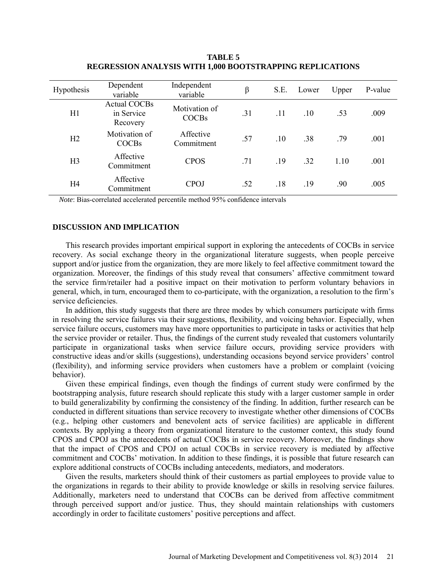| <b>Hypothesis</b> | Dependent<br>variable                         | Independent<br>variable       | β   | S.E. | Lower | Upper | P-value |
|-------------------|-----------------------------------------------|-------------------------------|-----|------|-------|-------|---------|
| H1                | <b>Actual COCBs</b><br>in Service<br>Recovery | Motivation of<br><b>COCBs</b> | .31 | .11  | .10   | .53   | .009    |
| H2                | Motivation of<br><b>COCBs</b>                 | Affective<br>Commitment       | .57 | .10  | .38   | .79   | .001    |
| H <sub>3</sub>    | Affective<br>Commitment                       | <b>CPOS</b>                   | .71 | .19  | .32   | 1.10  | .001    |
| H <sub>4</sub>    | Affective<br>Commitment                       | <b>CPOJ</b>                   | .52 | .18  | .19   | .90   | .005    |

**TABLE 5 REGRESSION ANALYSIS WITH 1,000 BOOTSTRAPPING REPLICATIONS**

*Note*: Bias-correlated accelerated percentile method 95% confidence intervals

# **DISCUSSION AND IMPLICATION**

This research provides important empirical support in exploring the antecedents of COCBs in service recovery. As social exchange theory in the organizational literature suggests, when people perceive support and/or justice from the organization, they are more likely to feel affective commitment toward the organization. Moreover, the findings of this study reveal that consumers' affective commitment toward the service firm/retailer had a positive impact on their motivation to perform voluntary behaviors in general, which, in turn, encouraged them to co-participate, with the organization, a resolution to the firm's service deficiencies.

In addition, this study suggests that there are three modes by which consumers participate with firms in resolving the service failures via their suggestions, flexibility, and voicing behavior. Especially, when service failure occurs, customers may have more opportunities to participate in tasks or activities that help the service provider or retailer. Thus, the findings of the current study revealed that customers voluntarily participate in organizational tasks when service failure occurs, providing service providers with constructive ideas and/or skills (suggestions), understanding occasions beyond service providers' control (flexibility), and informing service providers when customers have a problem or complaint (voicing behavior).

Given these empirical findings, even though the findings of current study were confirmed by the bootstrapping analysis, future research should replicate this study with a larger customer sample in order to build generalizability by confirming the consistency of the finding. In addition, further research can be conducted in different situations than service recovery to investigate whether other dimensions of COCBs (e.g., helping other customers and benevolent acts of service facilities) are applicable in different contexts. By applying a theory from organizational literature to the customer context, this study found CPOS and CPOJ as the antecedents of actual COCBs in service recovery. Moreover, the findings show that the impact of CPOS and CPOJ on actual COCBs in service recovery is mediated by affective commitment and COCBs' motivation. In addition to these findings, it is possible that future research can explore additional constructs of COCBs including antecedents, mediators, and moderators.

Given the results, marketers should think of their customers as partial employees to provide value to the organizations in regards to their ability to provide knowledge or skills in resolving service failures. Additionally, marketers need to understand that COCBs can be derived from affective commitment through perceived support and/or justice. Thus, they should maintain relationships with customers accordingly in order to facilitate customers' positive perceptions and affect.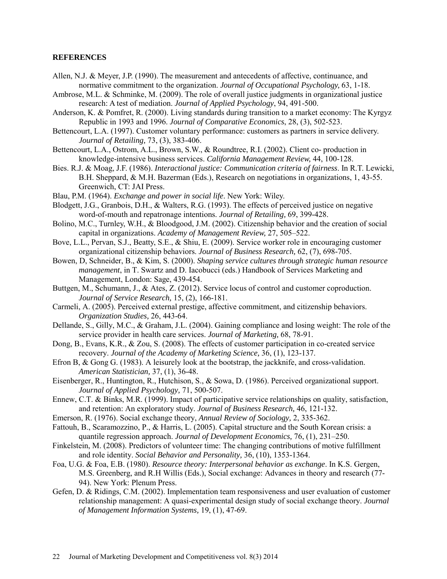### **REFERENCES**

- Allen, N.J. & Meyer, J.P. (1990). The measurement and antecedents of affective, continuance, and normative commitment to the organization. *Journal of Occupational Psychology,* 63, 1-18.
- Ambrose, M.L. & Schminke, M. (2009). The role of overall justice judgments in organizational justice research: A test of mediation. *Journal of Applied Psychology*, 94, 491-500.
- Anderson, K. & Pomfret, R. (2000). Living standards during transition to a market economy: The Kyrgyz Republic in 1993 and 1996. *Journal of Comparative Economics*, 28, (3), 502-523.
- Bettencourt, L.A. (1997). Customer voluntary performance: customers as partners in service delivery. *Journal of Retailing,* 73, (3), 383-406.
- Bettencourt, L.A., Ostrom, A.L., Brown, S.W., & Roundtree, R.I. (2002). Client co- production in knowledge-intensive business services. *California Management Review,* 44, 100-128.
- Bies. R.J. & Moag, J.F. (1986). *Interactional justice: Communication criteria of fairness*. In R.T. Lewicki, B.H. Sheppard, & M.H. Bazerman (Eds.), Research on negotiations in organizations, 1, 43-55. Greenwich, CT: JAI Press.
- Blau, P.M. (1964). *Exchange and power in social life*. New York: Wiley.
- Blodgett, J.G., Granbois, D.H., & Walters, R.G. (1993). The effects of perceived justice on negative word-of-mouth and repatronage intentions. *Journal of Retailing,* 69, 399-428.
- Bolino, M.C., Turnley, W.H., & Bloodgood, J.M. (2002). Citizenship behavior and the creation of social capital in organizations. *Academy of Management Review,* 27, 505–522.
- Bove, L.L., Pervan, S.J., Beatty, S.E., & Shiu, E. (2009). Service worker role in encouraging customer organizational citizenship behaviors. *Journal of Business Research,* 62, (7), 698-705.
- Bowen, D, Schneider, B., & Kim, S. (2000). *Shaping service cultures through strategic human resource management*, in T. Swartz and D. Iacobucci (eds.) Handbook of Services Marketing and Management, London: Sage, 439-454.
- Buttgen, M., Schumann, J., & Ates, Z. (2012). Service locus of control and customer coproduction. *Journal of Service Research,* 15, (2), 166-181.
- Carmeli, A. (2005). Perceived external prestige, affective commitment, and citizenship behaviors. *Organization Studies,* 26, 443-64.
- Dellande, S., Gilly, M.C., & Graham, J.L. (2004). Gaining compliance and losing weight: The role of the service provider in health care services. *Journal of Marketing,* 68, 78-91.
- Dong, B., Evans, K.R., & Zou, S. (2008). The effects of customer participation in co-created service recovery. *Journal of the Academy of Marketing Science,* 36, (1), 123-137.
- Efron B, & Gong G. (1983). A leisurely look at the bootstrap, the jackknife, and cross-validation. *American Statistician,* 37, (1), 36-48.
- Eisenberger, R., Huntington, R., Hutchison, S., & Sowa, D. (1986). Perceived organizational support. *Journal of Applied Psychology,* 71, 500-507.
- Ennew, C.T. & Binks, M.R. (1999). Impact of participative service relationships on quality, satisfaction, and retention: An exploratory study. *Journal of Business Research,* 46, 121-132.
- Emerson, R. (1976). Social exchange theory, *Annual Review of Sociology,* 2, 335-362.
- Fattouh, B., Scaramozzino, P., & Harris, L. (2005). Capital structure and the South Korean crisis: a quantile regression approach. *Journal of Development Economics,* 76, (1), 231–250.
- Finkelstein, M. (2008). Predictors of volunteer time: The changing contributions of motive fulfillment and role identity. *Social Behavior and Personality,* 36, (10), 1353-1364.
- Foa, U.G. & Foa, E.B. (1980). *Resource theory: Interpersonal behavior as exchange*. In K.S. Gergen, M.S. Greenberg, and R.H Willis (Eds.), Social exchange: Advances in theory and research (77- 94). New York: Plenum Press.
- Gefen, D. & Ridings, C.M. (2002). Implementation team responsiveness and user evaluation of customer relationship management: A quasi-experimental design study of social exchange theory. *Journal of Management Information Systems,* 19, (1), 47-69.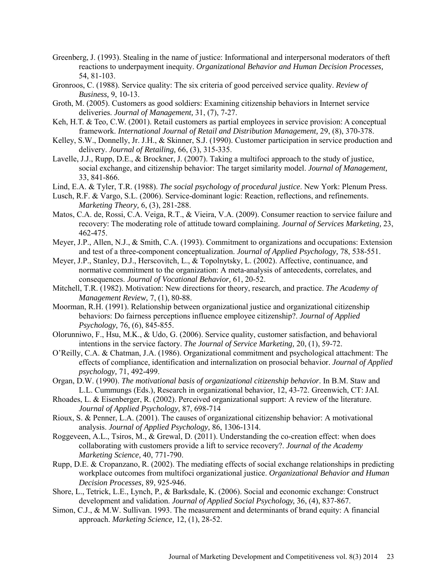- Greenberg, J. (1993). Stealing in the name of justice: Informational and interpersonal moderators of theft reactions to underpayment inequity. *Organizational Behavior and Human Decision Processes,*  54, 81-103.
- Gronroos, C. (1988). Service quality: The six criteria of good perceived service quality. *Review of Business,* 9, 10-13.
- Groth, M. (2005). Customers as good soldiers: Examining citizenship behaviors in Internet service deliveries. *Journal of Management,* 31, (7), 7-27.
- Keh, H.T. & Teo, C.W. (2001). Retail customers as partial employees in service provision: A conceptual framework. *International Journal of Retail and Distribution Management,* 29, (8), 370-378.
- Kelley, S.W., Donnelly, Jr. J.H., & Skinner, S.J. (1990). Customer participation in service production and delivery. *Journal of Retailing,* 66, (3), 315-335.
- Lavelle, J.J., Rupp, D.E., & Brockner, J. (2007). Taking a multifoci approach to the study of justice, social exchange, and citizenship behavior: The target similarity model. *Journal of Management,*  33, 841-866.
- Lind, E.A. & Tyler, T.R. (1988). *The social psychology of procedural justice*. New York: Plenum Press.
- Lusch, R.F. & Vargo, S.L. (2006). Service-dominant logic: Reaction, reflections, and refinements. *Marketing Theory,* 6, (3), 281-288.
- Matos, C.A. de, Rossi, C.A. Veiga, R.T., & Vieira, V.A. (2009). Consumer reaction to service failure and recovery: The moderating role of attitude toward complaining. *Journal of Services Marketing,* 23, 462-475.
- Meyer, J.P., Allen, N.J., & Smith, C.A. (1993). Commitment to organizations and occupations: Extension and test of a three-component conceptualization. *Journal of Applied Psychology,* 78, 538-551.
- Meyer, J.P., Stanley, D.J., Herscovitch, L., & Topolnytsky, L. (2002). Affective, continuance, and normative commitment to the organization: A meta-analysis of antecedents, correlates, and consequences. *Journal of Vocational Behavior,* 61, 20-52.
- Mitchell, T.R. (1982). Motivation: New directions for theory, research, and practice. *The Academy of Management Review,* 7, (1), 80-88.
- Moorman, R.H. (1991). Relationship between organizational justice and organizational citizenship behaviors: Do fairness perceptions influence employee citizenship?. *Journal of Applied Psychology,* 76, (6), 845-855.
- Olorunniwo, F., Hsu, M.K., & Udo, G. (2006). Service quality, customer satisfaction, and behavioral intentions in the service factory. *The Journal of Service Marketing,* 20, (1), 59-72.
- O'Reilly, C.A. & Chatman, J.A. (1986). Organizational commitment and psychological attachment: The effects of compliance, identification and internalization on prosocial behavior. *Journal of Applied psychology,* 71, 492-499.
- Organ, D.W. (1990). *The motivational basis of organizational citizenship behavior*. In B.M. Staw and L.L. Cummungs (Eds.), Research in organizational behavior, 12, 43-72. Greenwich, CT: JAI.
- Rhoades, L. & Eisenberger, R. (2002). Perceived organizational support: A review of the literature. *Journal of Applied Psychology,* 87, 698-714
- Rioux, S. & Penner, L.A. (2001). The causes of organizational citizenship behavior: A motivational analysis. *Journal of Applied Psychology,* 86, 1306-1314.
- Roggeveen, A.L., Tsiros, M., & Grewal, D. (2011). Understanding the co-creation effect: when does collaborating with customers provide a lift to service recovery?. *Journal of the Academy Marketing Science,* 40, 771-790.
- Rupp, D.E. & Cropanzano, R. (2002). The mediating effects of social exchange relationships in predicting workplace outcomes from multifoci organizational justice. *Organizational Behavior and Human Decision Processes,* 89, 925-946.
- Shore, L., Tetrick, L.E., Lynch, P., & Barksdale, K. (2006). Social and economic exchange: Construct development and validation. *Journal of Applied Social Psychology,* 36, (4), 837-867.
- Simon, C.J., & M.W. Sullivan. 1993. The measurement and determinants of brand equity: A financial approach. *Marketing Science,* 12, (1), 28-52.